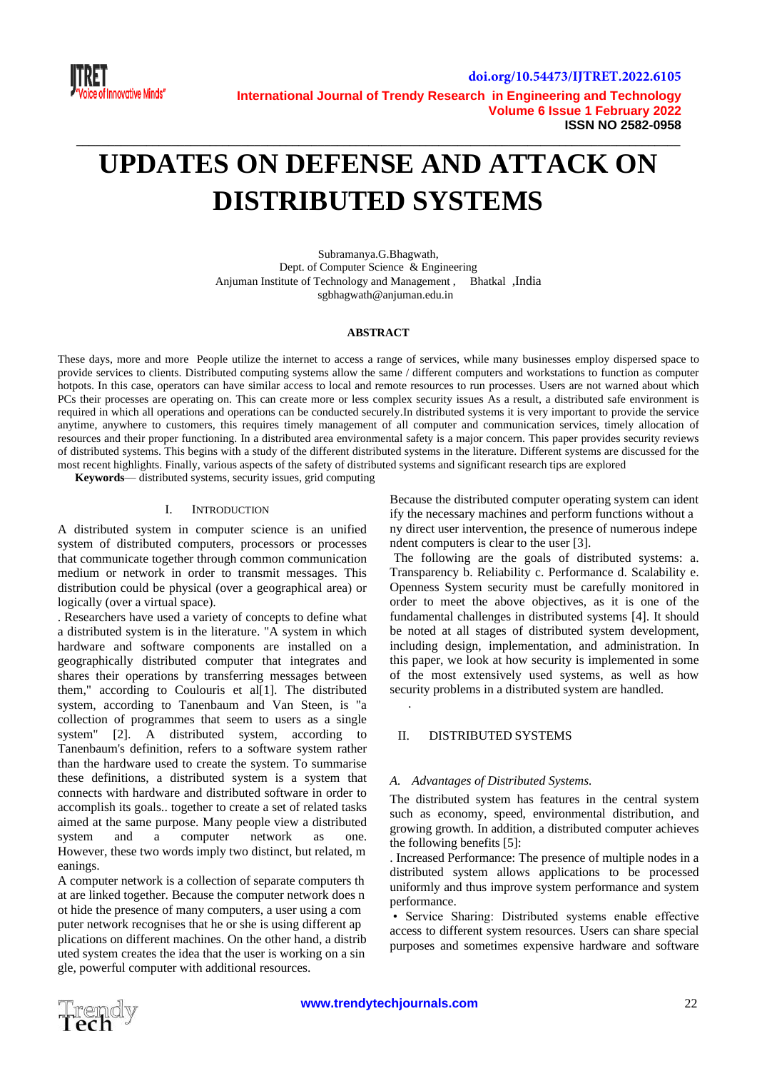

# **UPDATES ON DEFENSE AND ATTACK ON DISTRIBUTED SYSTEMS**

**\_\_\_\_\_\_\_\_\_\_\_\_\_\_\_\_\_\_\_\_\_\_\_\_\_\_\_\_\_\_\_\_\_\_\_\_\_\_\_\_\_\_\_\_\_\_\_\_\_\_\_\_\_\_\_\_\_\_\_\_\_\_\_\_\_\_\_\_\_\_\_\_\_\_\_\_\_\_\_\_\_\_\_\_\_\_\_\_\_\_\_\_\_\_\_**

Subramanya.G.Bhagwath, Dept. of Computer Science & Engineering Anjuman Institute of Technology and Management , Bhatkal ,India sgbhagwath@anjuman.edu.in

#### **ABSTRACT**

These days, more and more People utilize the internet to access a range of services, while many businesses employ dispersed space to provide services to clients. Distributed computing systems allow the same / different computers and workstations to function as computer hotpots. In this case, operators can have similar access to local and remote resources to run processes. Users are not warned about which PCs their processes are operating on. This can create more or less complex security issues As a result, a distributed safe environment is required in which all operations and operations can be conducted securely.In distributed systems it is very important to provide the service anytime, anywhere to customers, this requires timely management of all computer and communication services, timely allocation of resources and their proper functioning. In a distributed area environmental safety is a major concern. This paper provides security reviews of distributed systems. This begins with a study of the different distributed systems in the literature. Different systems are discussed for the most recent highlights. Finally, various aspects of the safety of distributed systems and significant research tips are explored

**Keywords**— distributed systems, security issues, grid computing

#### I. INTRODUCTION

A distributed system in computer science is an unified system of distributed computers, processors or processes that communicate together through common communication medium or network in order to transmit messages. This distribution could be physical (over a geographical area) or logically (over a virtual space).

. Researchers have used a variety of concepts to define what a distributed system is in the literature. "A system in which hardware and software components are installed on a geographically distributed computer that integrates and shares their operations by transferring messages between them," according to Coulouris et al[1]. The distributed system, according to Tanenbaum and Van Steen, is "a collection of programmes that seem to users as a single system" [2]. A distributed system, according to Tanenbaum's definition, refers to a software system rather than the hardware used to create the system. To summarise these definitions, a distributed system is a system that connects with hardware and distributed software in order to accomplish its goals.. together to create a set of related tasks aimed at the same purpose. Many people view a distributed system and a computer network as one. However, these two words imply two distinct, but related, m eanings.

A computer network is a collection of separate computers th at are linked together. Because the computer network does n ot hide the presence of many computers, a user using a com puter network recognises that he or she is using different ap plications on different machines. On the other hand, a distrib uted system creates the idea that the user is working on a sin gle, powerful computer with additional resources.

Because the distributed computer operating system can ident ify the necessary machines and perform functions without a ny direct user intervention, the presence of numerous indepe ndent computers is clear to the user [3].

The following are the goals of distributed systems: a. Transparency b. Reliability c. Performance d. Scalability e. Openness System security must be carefully monitored in order to meet the above objectives, as it is one of the fundamental challenges in distributed systems [4]. It should be noted at all stages of distributed system development, including design, implementation, and administration. In this paper, we look at how security is implemented in some of the most extensively used systems, as well as how security problems in a distributed system are handled. .

#### II. DISTRIBUTED SYSTEMS

#### *A. Advantages of Distributed Systems.*

The distributed system has features in the central system such as economy, speed, environmental distribution, and growing growth. In addition, a distributed computer achieves the following benefits [5]:

. Increased Performance: The presence of multiple nodes in a distributed system allows applications to be processed uniformly and thus improve system performance and system performance.

• Service Sharing: Distributed systems enable effective access to different system resources. Users can share special purposes and sometimes expensive hardware and software

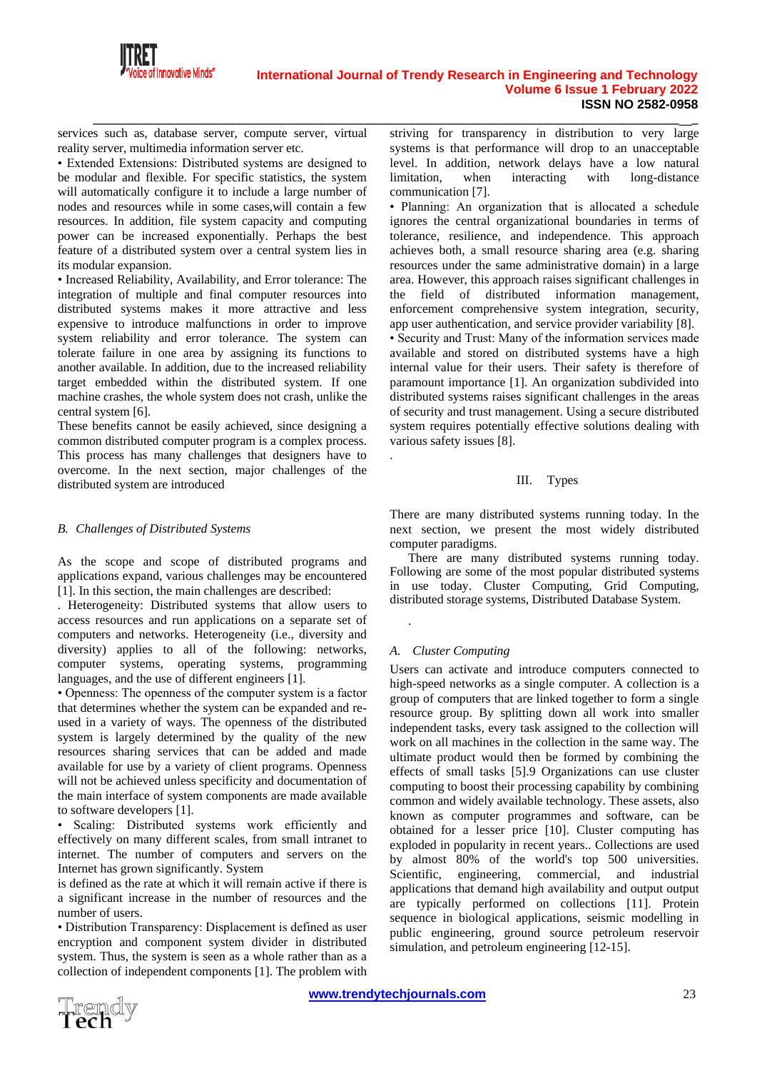

services such as, database server, compute server, virtual reality server, multimedia information server etc.

• Extended Extensions: Distributed systems are designed to be modular and flexible. For specific statistics, the system will automatically configure it to include a large number of nodes and resources while in some cases,will contain a few resources. In addition, file system capacity and computing power can be increased exponentially. Perhaps the best feature of a distributed system over a central system lies in its modular expansion.

• Increased Reliability, Availability, and Error tolerance: The integration of multiple and final computer resources into distributed systems makes it more attractive and less expensive to introduce malfunctions in order to improve system reliability and error tolerance. The system can tolerate failure in one area by assigning its functions to another available. In addition, due to the increased reliability target embedded within the distributed system. If one machine crashes, the whole system does not crash, unlike the central system [6].

These benefits cannot be easily achieved, since designing a common distributed computer program is a complex process. This process has many challenges that designers have to overcome. In the next section, major challenges of the distributed system are introduced

#### *B. Challenges of Distributed Systems*

As the scope and scope of distributed programs and applications expand, various challenges may be encountered [1]. In this section, the main challenges are described:

. Heterogeneity: Distributed systems that allow users to access resources and run applications on a separate set of computers and networks. Heterogeneity (i.e., diversity and diversity) applies to all of the following: networks, computer systems, operating systems, programming languages, and the use of different engineers [1].

• Openness: The openness of the computer system is a factor that determines whether the system can be expanded and reused in a variety of ways. The openness of the distributed system is largely determined by the quality of the new resources sharing services that can be added and made available for use by a variety of client programs. Openness will not be achieved unless specificity and documentation of the main interface of system components are made available to software developers [1].

• Scaling: Distributed systems work efficiently and effectively on many different scales, from small intranet to internet. The number of computers and servers on the Internet has grown significantly. System

is defined as the rate at which it will remain active if there is a significant increase in the number of resources and the number of users.

• Distribution Transparency: Displacement is defined as user encryption and component system divider in distributed system. Thus, the system is seen as a whole rather than as a collection of independent components [1]. The problem with

**\_\_\_\_\_\_\_\_\_\_\_\_\_\_\_\_\_\_\_\_\_\_\_\_\_\_\_\_\_\_\_\_\_\_\_\_\_\_\_\_\_\_\_\_\_\_\_\_\_\_\_\_\_\_\_\_\_\_\_\_\_\_\_\_\_\_\_\_\_\_\_\_\_\_\_\_\_\_\_\_\_\_\_\_\_\_\_\_\_\_\_\_\_\_\_** striving for transparency in distribution to very large systems is that performance will drop to an unacceptable level. In addition, network delays have a low natural limitation, when interacting with long-distance communication [7].

> • Planning: An organization that is allocated a schedule ignores the central organizational boundaries in terms of tolerance, resilience, and independence. This approach achieves both, a small resource sharing area (e.g. sharing resources under the same administrative domain) in a large area. However, this approach raises significant challenges in the field of distributed information management, enforcement comprehensive system integration, security, app user authentication, and service provider variability [8]. • Security and Trust: Many of the information services made available and stored on distributed systems have a high internal value for their users. Their safety is therefore of paramount importance [1]. An organization subdivided into distributed systems raises significant challenges in the areas of security and trust management. Using a secure distributed system requires potentially effective solutions dealing with various safety issues [8].

#### III. Types

There are many distributed systems running today. In the next section, we present the most widely distributed computer paradigms.

There are many distributed systems running today. Following are some of the most popular distributed systems in use today. Cluster Computing, Grid Computing, distributed storage systems, Distributed Database System.

#### *A. Cluster Computing*

.

.

Users can activate and introduce computers connected to high-speed networks as a single computer. A collection is a group of computers that are linked together to form a single resource group. By splitting down all work into smaller independent tasks, every task assigned to the collection will work on all machines in the collection in the same way. The ultimate product would then be formed by combining the effects of small tasks [5].9 Organizations can use cluster computing to boost their processing capability by combining common and widely available technology. These assets, also known as computer programmes and software, can be obtained for a lesser price [10]. Cluster computing has exploded in popularity in recent years.. Collections are used by almost 80% of the world's top 500 universities. Scientific, engineering, commercial, and industrial applications that demand high availability and output output are typically performed on collections [11]. Protein sequence in biological applications, seismic modelling in public engineering, ground source petroleum reservoir simulation, and petroleum engineering [12-15].

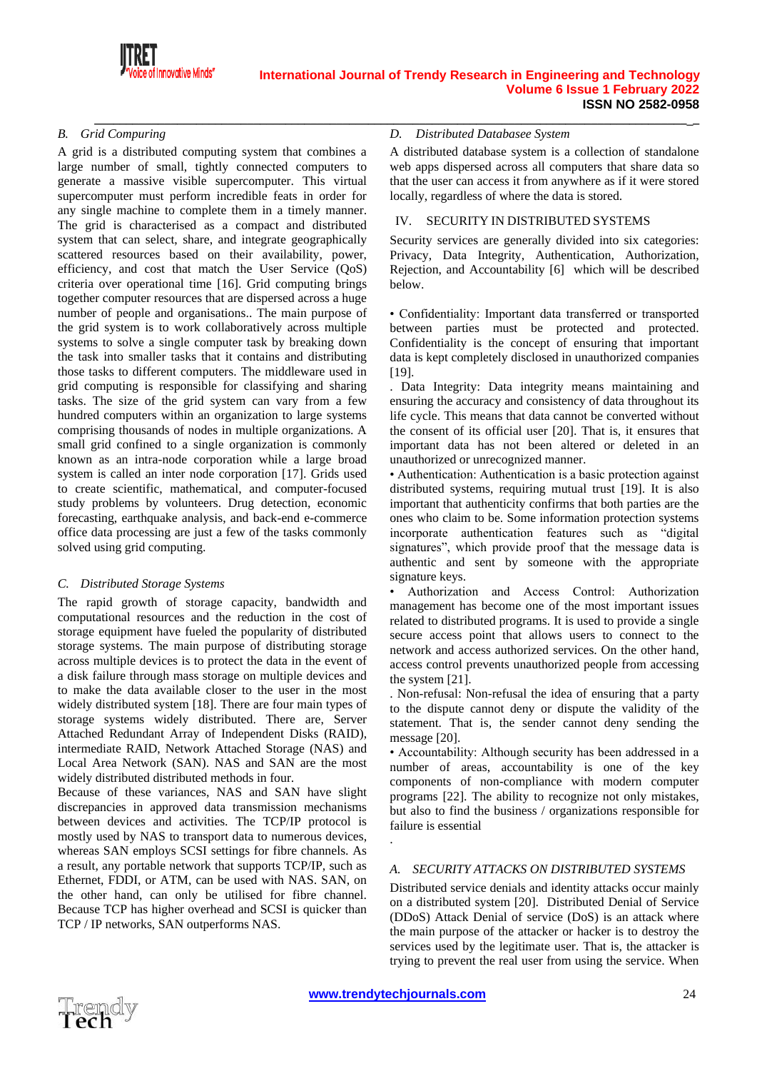

**\_\_\_\_\_\_\_\_\_\_\_\_\_\_\_\_\_\_\_\_\_\_\_\_\_\_\_\_\_\_\_\_\_\_\_\_\_\_\_\_\_\_\_\_\_\_\_\_\_\_\_\_\_\_\_\_\_\_\_\_\_\_\_\_\_\_\_\_\_\_\_\_\_\_\_\_\_\_\_\_\_\_\_\_\_\_\_\_\_\_\_\_\_\_\_**

# *B. Grid Compuring*

A grid is a distributed computing system that combines a large number of small, tightly connected computers to generate a massive visible supercomputer. This virtual supercomputer must perform incredible feats in order for any single machine to complete them in a timely manner. The grid is characterised as a compact and distributed system that can select, share, and integrate geographically scattered resources based on their availability, power, efficiency, and cost that match the User Service (QoS) criteria over operational time [16]. Grid computing brings together computer resources that are dispersed across a huge number of people and organisations.. The main purpose of the grid system is to work collaboratively across multiple systems to solve a single computer task by breaking down the task into smaller tasks that it contains and distributing those tasks to different computers. The middleware used in grid computing is responsible for classifying and sharing tasks. The size of the grid system can vary from a few hundred computers within an organization to large systems comprising thousands of nodes in multiple organizations. A small grid confined to a single organization is commonly known as an intra-node corporation while a large broad system is called an inter node corporation [17]. Grids used to create scientific, mathematical, and computer-focused study problems by volunteers. Drug detection, economic forecasting, earthquake analysis, and back-end e-commerce office data processing are just a few of the tasks commonly solved using grid computing.

#### *C. Distributed Storage Systems*

The rapid growth of storage capacity, bandwidth and computational resources and the reduction in the cost of storage equipment have fueled the popularity of distributed storage systems. The main purpose of distributing storage across multiple devices is to protect the data in the event of a disk failure through mass storage on multiple devices and to make the data available closer to the user in the most widely distributed system [18]. There are four main types of storage systems widely distributed. There are, Server Attached Redundant Array of Independent Disks (RAID), intermediate RAID, Network Attached Storage (NAS) and Local Area Network (SAN). NAS and SAN are the most widely distributed distributed methods in four.

Because of these variances, NAS and SAN have slight discrepancies in approved data transmission mechanisms between devices and activities. The TCP/IP protocol is mostly used by NAS to transport data to numerous devices, whereas SAN employs SCSI settings for fibre channels. As a result, any portable network that supports TCP/IP, such as Ethernet, FDDI, or ATM, can be used with NAS. SAN, on the other hand, can only be utilised for fibre channel. Because TCP has higher overhead and SCSI is quicker than TCP / IP networks, SAN outperforms NAS.

#### *D. Distributed Databasee System*

A distributed database system is a collection of standalone web apps dispersed across all computers that share data so that the user can access it from anywhere as if it were stored locally, regardless of where the data is stored.

## IV. SECURITY IN DISTRIBUTED SYSTEMS

Security services are generally divided into six categories: Privacy, Data Integrity, Authentication, Authorization, Rejection, and Accountability [6] which will be described below.

• Confidentiality: Important data transferred or transported between parties must be protected and protected. Confidentiality is the concept of ensuring that important data is kept completely disclosed in unauthorized companies [19].

. Data Integrity: Data integrity means maintaining and ensuring the accuracy and consistency of data throughout its life cycle. This means that data cannot be converted without the consent of its official user [20]. That is, it ensures that important data has not been altered or deleted in an unauthorized or unrecognized manner.

• Authentication: Authentication is a basic protection against distributed systems, requiring mutual trust [19]. It is also important that authenticity confirms that both parties are the ones who claim to be. Some information protection systems incorporate authentication features such as "digital signatures", which provide proof that the message data is authentic and sent by someone with the appropriate signature keys.

• Authorization and Access Control: Authorization management has become one of the most important issues related to distributed programs. It is used to provide a single secure access point that allows users to connect to the network and access authorized services. On the other hand, access control prevents unauthorized people from accessing the system [21].

. Non-refusal: Non-refusal the idea of ensuring that a party to the dispute cannot deny or dispute the validity of the statement. That is, the sender cannot deny sending the message [20].

• Accountability: Although security has been addressed in a number of areas, accountability is one of the key components of non-compliance with modern computer programs [22]. The ability to recognize not only mistakes, but also to find the business / organizations responsible for failure is essential

## *A. SECURITY ATTACKS ON DISTRIBUTED SYSTEMS*

Distributed service denials and identity attacks occur mainly on a distributed system [20]. Distributed Denial of Service (DDoS) Attack Denial of service (DoS) is an attack where the main purpose of the attacker or hacker is to destroy the services used by the legitimate user. That is, the attacker is trying to prevent the real user from using the service. When



.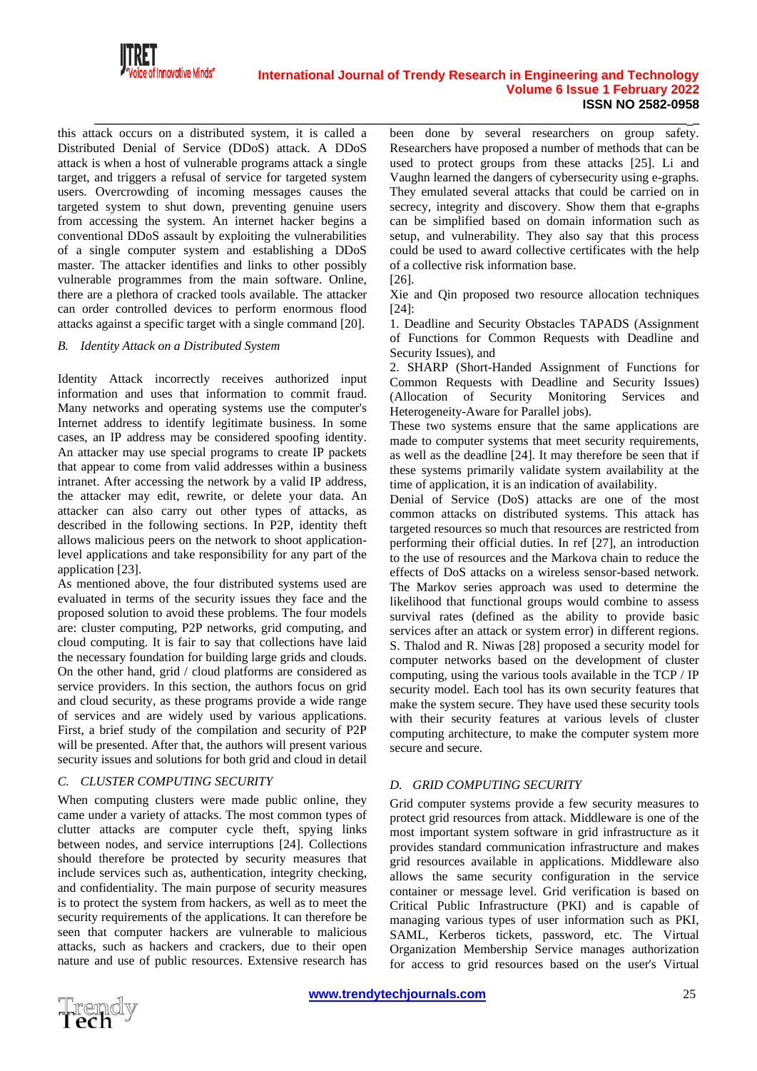

this attack occurs on a distributed system, it is called a Distributed Denial of Service (DDoS) attack. A DDoS attack is when a host of vulnerable programs attack a single target, and triggers a refusal of service for targeted system users. Overcrowding of incoming messages causes the targeted system to shut down, preventing genuine users from accessing the system. An internet hacker begins a conventional DDoS assault by exploiting the vulnerabilities of a single computer system and establishing a DDoS master. The attacker identifies and links to other possibly vulnerable programmes from the main software. Online, there are a plethora of cracked tools available. The attacker can order controlled devices to perform enormous flood attacks against a specific target with a single command [20].

#### *B. Identity Attack on a Distributed System*

Identity Attack incorrectly receives authorized input information and uses that information to commit fraud. Many networks and operating systems use the computer's Internet address to identify legitimate business. In some cases, an IP address may be considered spoofing identity. An attacker may use special programs to create IP packets that appear to come from valid addresses within a business intranet. After accessing the network by a valid IP address, the attacker may edit, rewrite, or delete your data. An attacker can also carry out other types of attacks, as described in the following sections. In P2P, identity theft allows malicious peers on the network to shoot applicationlevel applications and take responsibility for any part of the application [23].

As mentioned above, the four distributed systems used are evaluated in terms of the security issues they face and the proposed solution to avoid these problems. The four models are: cluster computing, P2P networks, grid computing, and cloud computing. It is fair to say that collections have laid the necessary foundation for building large grids and clouds. On the other hand, grid / cloud platforms are considered as service providers. In this section, the authors focus on grid and cloud security, as these programs provide a wide range of services and are widely used by various applications. First, a brief study of the compilation and security of P2P will be presented. After that, the authors will present various security issues and solutions for both grid and cloud in detail

#### *C. CLUSTER COMPUTING SECURITY*

When computing clusters were made public online, they came under a variety of attacks. The most common types of clutter attacks are computer cycle theft, spying links between nodes, and service interruptions [24]. Collections should therefore be protected by security measures that include services such as, authentication, integrity checking, and confidentiality. The main purpose of security measures is to protect the system from hackers, as well as to meet the security requirements of the applications. It can therefore be seen that computer hackers are vulnerable to malicious attacks, such as hackers and crackers, due to their open nature and use of public resources. Extensive research has

been done by several researchers on group safety. Researchers have proposed a number of methods that can be used to protect groups from these attacks [25]. Li and Vaughn learned the dangers of cybersecurity using e-graphs. They emulated several attacks that could be carried on in secrecy, integrity and discovery. Show them that e-graphs can be simplified based on domain information such as setup, and vulnerability. They also say that this process could be used to award collective certificates with the help of a collective risk information base.

[26].

**\_\_\_\_\_\_\_\_\_\_\_\_\_\_\_\_\_\_\_\_\_\_\_\_\_\_\_\_\_\_\_\_\_\_\_\_\_\_\_\_\_\_\_\_\_\_\_\_\_\_\_\_\_\_\_\_\_\_\_\_\_\_\_\_\_\_\_\_\_\_\_\_\_\_\_\_\_\_\_\_\_\_\_\_\_\_\_\_\_\_\_\_\_\_\_**

Xie and Qin proposed two resource allocation techniques [24]:

1. Deadline and Security Obstacles TAPADS (Assignment of Functions for Common Requests with Deadline and Security Issues), and

2. SHARP (Short-Handed Assignment of Functions for Common Requests with Deadline and Security Issues) (Allocation of Security Monitoring Services and Heterogeneity-Aware for Parallel jobs).

These two systems ensure that the same applications are made to computer systems that meet security requirements, as well as the deadline [24]. It may therefore be seen that if these systems primarily validate system availability at the time of application, it is an indication of availability.

Denial of Service (DoS) attacks are one of the most common attacks on distributed systems. This attack has targeted resources so much that resources are restricted from performing their official duties. In ref [27], an introduction to the use of resources and the Markova chain to reduce the effects of DoS attacks on a wireless sensor-based network. The Markov series approach was used to determine the likelihood that functional groups would combine to assess survival rates (defined as the ability to provide basic services after an attack or system error) in different regions. S. Thalod and R. Niwas [28] proposed a security model for computer networks based on the development of cluster computing, using the various tools available in the TCP / IP security model. Each tool has its own security features that make the system secure. They have used these security tools with their security features at various levels of cluster computing architecture, to make the computer system more secure and secure.

# *D. GRID COMPUTING SECURITY*

Grid computer systems provide a few security measures to protect grid resources from attack. Middleware is one of the most important system software in grid infrastructure as it provides standard communication infrastructure and makes grid resources available in applications. Middleware also allows the same security configuration in the service container or message level. Grid verification is based on Critical Public Infrastructure (PKI) and is capable of managing various types of user information such as PKI, SAML, Kerberos tickets, password, etc. The Virtual Organization Membership Service manages authorization for access to grid resources based on the user's Virtual

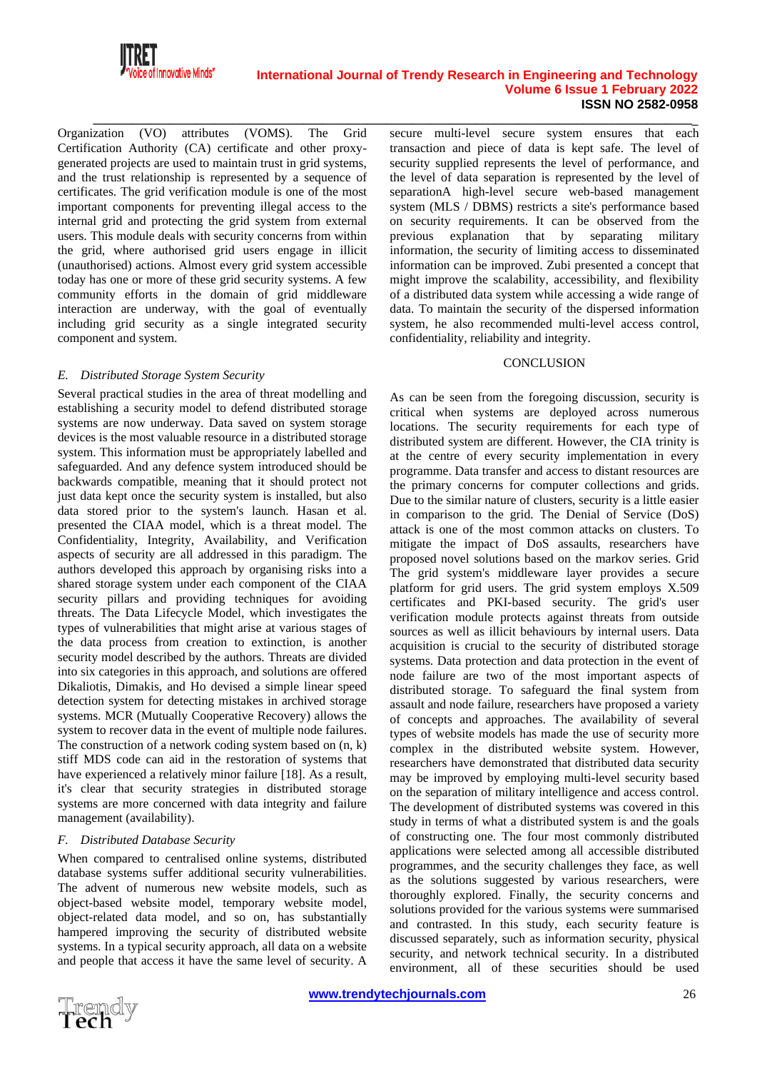

Organization (VO) attributes (VOMS). The Grid Certification Authority (CA) certificate and other proxygenerated projects are used to maintain trust in grid systems, and the trust relationship is represented by a sequence of certificates. The grid verification module is one of the most important components for preventing illegal access to the internal grid and protecting the grid system from external users. This module deals with security concerns from within the grid, where authorised grid users engage in illicit (unauthorised) actions. Almost every grid system accessible today has one or more of these grid security systems. A few community efforts in the domain of grid middleware interaction are underway, with the goal of eventually including grid security as a single integrated security component and system.

#### *E. Distributed Storage System Security*

Several practical studies in the area of threat modelling and establishing a security model to defend distributed storage systems are now underway. Data saved on system storage devices is the most valuable resource in a distributed storage system. This information must be appropriately labelled and safeguarded. And any defence system introduced should be backwards compatible, meaning that it should protect not just data kept once the security system is installed, but also data stored prior to the system's launch. Hasan et al. presented the CIAA model, which is a threat model. The Confidentiality, Integrity, Availability, and Verification aspects of security are all addressed in this paradigm. The authors developed this approach by organising risks into a shared storage system under each component of the CIAA security pillars and providing techniques for avoiding threats. The Data Lifecycle Model, which investigates the types of vulnerabilities that might arise at various stages of the data process from creation to extinction, is another security model described by the authors. Threats are divided into six categories in this approach, and solutions are offered Dikaliotis, Dimakis, and Ho devised a simple linear speed detection system for detecting mistakes in archived storage systems. MCR (Mutually Cooperative Recovery) allows the system to recover data in the event of multiple node failures. The construction of a network coding system based on (n, k) stiff MDS code can aid in the restoration of systems that have experienced a relatively minor failure [18]. As a result, it's clear that security strategies in distributed storage systems are more concerned with data integrity and failure management (availability).

#### *F. Distributed Database Security*

When compared to centralised online systems, distributed database systems suffer additional security vulnerabilities. The advent of numerous new website models, such as object-based website model, temporary website model, object-related data model, and so on, has substantially hampered improving the security of distributed website systems. In a typical security approach, all data on a website and people that access it have the same level of security. A

**\_\_\_\_\_\_\_\_\_\_\_\_\_\_\_\_\_\_\_\_\_\_\_\_\_\_\_\_\_\_\_\_\_\_\_\_\_\_\_\_\_\_\_\_\_\_\_\_\_\_\_\_\_\_\_\_\_\_\_\_\_\_\_\_\_\_\_\_\_\_\_\_\_\_\_\_\_\_\_\_\_\_\_\_\_\_\_\_\_\_\_\_\_\_\_** secure multi-level secure system ensures that each transaction and piece of data is kept safe. The level of security supplied represents the level of performance, and the level of data separation is represented by the level of separationA high-level secure web-based management system (MLS / DBMS) restricts a site's performance based on security requirements. It can be observed from the previous explanation that by separating military information, the security of limiting access to disseminated information can be improved. Zubi presented a concept that might improve the scalability, accessibility, and flexibility of a distributed data system while accessing a wide range of data. To maintain the security of the dispersed information system, he also recommended multi-level access control, confidentiality, reliability and integrity.

#### **CONCLUSION**

As can be seen from the foregoing discussion, security is critical when systems are deployed across numerous locations. The security requirements for each type of distributed system are different. However, the CIA trinity is at the centre of every security implementation in every programme. Data transfer and access to distant resources are the primary concerns for computer collections and grids. Due to the similar nature of clusters, security is a little easier in comparison to the grid. The Denial of Service (DoS) attack is one of the most common attacks on clusters. To mitigate the impact of DoS assaults, researchers have proposed novel solutions based on the markov series. Grid The grid system's middleware layer provides a secure platform for grid users. The grid system employs X.509 certificates and PKI-based security. The grid's user verification module protects against threats from outside sources as well as illicit behaviours by internal users. Data acquisition is crucial to the security of distributed storage systems. Data protection and data protection in the event of node failure are two of the most important aspects of distributed storage. To safeguard the final system from assault and node failure, researchers have proposed a variety of concepts and approaches. The availability of several types of website models has made the use of security more complex in the distributed website system. However, researchers have demonstrated that distributed data security may be improved by employing multi-level security based on the separation of military intelligence and access control. The development of distributed systems was covered in this study in terms of what a distributed system is and the goals of constructing one. The four most commonly distributed applications were selected among all accessible distributed programmes, and the security challenges they face, as well as the solutions suggested by various researchers, were thoroughly explored. Finally, the security concerns and solutions provided for the various systems were summarised and contrasted. In this study, each security feature is discussed separately, such as information security, physical security, and network technical security. In a distributed environment, all of these securities should be used

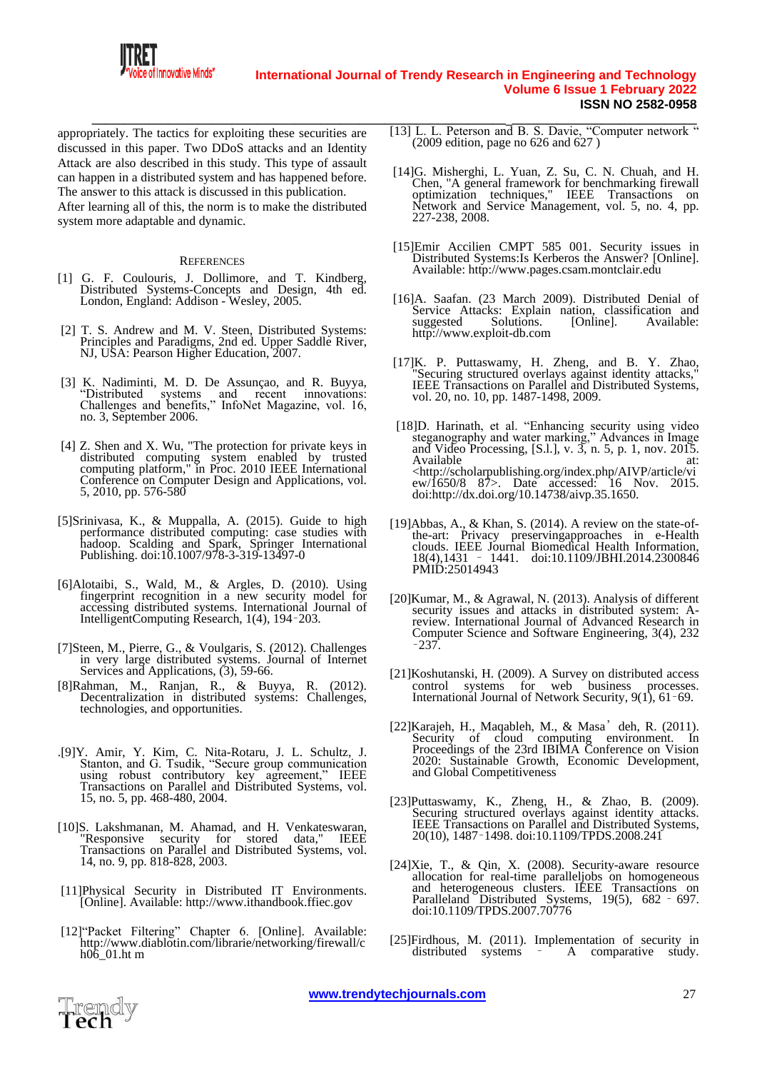

appropriately. The tactics for exploiting these securities are discussed in this paper. Two DDoS attacks and an Identity Attack are also described in this study. This type of assault can happen in a distributed system and has happened before. The answer to this attack is discussed in this publication. After learning all of this, the norm is to make the distributed system more adaptable and dynamic.

#### **REFERENCES**

- [1] G. F. Coulouris, J. Dollimore, and T. Kindberg, Distributed Systems-Concepts and Design, 4th ed. London, England: Addison - Wesley, 2005.
- [2] T. S. Andrew and M. V. Steen, Distributed Systems: Principles and Paradigms, 2nd ed. Upper Saddle River, NJ, USA: Pearson Higher Education, 2007.
- [3] K. Nadiminti, M. D. De Assunçao, and R. Buyya, "Distributed systems and recent innovations: Challenges and benefits," InfoNet Magazine, vol. 16, no. 3, September 2006.
- [4] Z. Shen and X. Wu, "The protection for private keys in distributed computing system enabled by trusted computing platform," in Proc. 2010 IEEE International Conference on Computer Design and Applications, vol. 5, 2010, pp. 576-580
- [5]Srinivasa, K., & Muppalla, A. (2015). Guide to high performance distributed computing: case studies with hadoop. Scalding and Spark, Springer International Publishing. doi:10.1007/978-3-319-13497-0
- [6]Alotaibi, S., Wald, M., & Argles, D. (2010). Using fingerprint recognition in a new security model for accessing distributed systems. International Journal of IntelligentComputing Research, 1(4), 194–203.
- [7]Steen, M., Pierre, G., & Voulgaris, S. (2012). Challenges in very large distributed systems. Journal of Internet Services and Applications,  $(3)$ , 59-66.
- [8]Rahman, M., Ranjan, R., & Buyya, R. (2012). Decentralization in distributed systems: Challenges, technologies, and opportunities.
- .[9]Y. Amir, Y. Kim, C. Nita-Rotaru, J. L. Schultz, J. Stanton, and G. Tsudik, "Secure group communication using robust contributory key agreement," IEEE Transactions on Parallel and Distributed Systems, vol. 15, no. 5, pp. 468-480, 2004.
- [10]S. Lakshmanan, M. Ahamad, and H. Venkateswaran, "Responsive security for stored data," IEEE Transactions on Parallel and Distributed Systems, vol. 14, no. 9, pp. 818-828, 2003.
- [11]Physical Security in Distributed IT Environments. [Online]. Available: [http://www.ithandbook.ffiec.gov](http://www.ithandbook.ffiec.gov/)
- [12] "Packet Filtering" Chapter 6. [Online]. Available: http://www.diablotin.com/librarie/networking/firewall/c h $06$  01.ht m
- **\_\_\_\_\_\_\_\_\_\_\_\_\_\_\_\_\_\_\_\_\_\_\_\_\_\_\_\_\_\_\_\_\_\_\_\_\_\_\_\_\_\_\_\_\_\_\_\_\_\_\_\_\_\_\_\_\_\_\_\_\_\_\_\_\_\_\_\_\_\_\_\_\_\_\_\_\_\_\_\_\_\_\_\_\_\_\_\_\_\_\_\_\_\_\_** [13] L. L. Peterson and B. S. Davie, "Computer network " (2009 edition, page no 626 and 627 )
	- [14]G. Misherghi, L. Yuan, Z. Su, C. N. Chuah, and H. Chen, "A general framework for benchmarking firewall optimization techniques," IEEE Transactions on Network and Service Management, vol. 5, no. 4, pp. 227-238, 2008.
	- [15]Emir Accilien CMPT 585 001. Security issues in Distributed Systems:Is Kerberos the Answer? [Online]. Available[: http://www.pages.csam.montclair.edu](http://www.pages.csam.montclair.edu/)
	- [16]A. Saafan. (23 March 2009). Distributed Denial of Service Attacks: Explain nation, classification and suggested Solutions. [Online]. Available: suggested Solutions.<br>[http://www.exploit-db.com](http://www.exploit-db.com/)
	- [17]K. P. Puttaswamy, H. Zheng, and B. Y. Zhao, Securing structured overlays against identity attacks, IEEE Transactions on Parallel and Distributed Systems, vol. 20, no. 10, pp. 1487-1498, 2009.
	- [18]D. Harinath, et al. "Enhancing security using video steganography and water marking," Advances in Image and Video Processing, [S.l.], v.  $\overline{3}$ , n. 5, p. 1, nov. 2015.<br>Available at: Available at: <http://scholarpublishing.org/index.php/AIVP/article/vi ew/1650/8 87>. Date accessed: 16 Nov. 2015. doi:http://dx.doi.org/10.14738/aivp.35.1650.
	- [19]Abbas, A., & Khan, S. (2014). A review on the state-ofthe-art: Privacy preservingapproaches in e-Health clouds. IEEE Journal Biomedical Health Information, 18(4),1431 – 1441. doi:10.1109/JBHI.2014.2300846 PMID:25014943
	- [20]Kumar, M., & Agrawal, N. (2013). Analysis of different security issues and attacks in distributed system: Areview. International Journal of Advanced Research in Computer Science and Software Engineering, 3(4), 232 –237.
	- [21]Koshutanski, H. (2009). A Survey on distributed access control systems for web business processes. International Journal of Network Security, 9(1), 61–69.
	- [22]Karajeh, H., Maqableh, M., & Masa'deh, R. (2011). Security of cloud computing environment. In Proceedings of the 23rd IBIMA Conference on Vision 2020: Sustainable Growth, Economic Development, and Global Competitiveness
	- [23]Puttaswamy, K., Zheng, H., & Zhao, B. (2009). Securing structured overlays against identity attacks. IEEE Transactions on Parallel and Distributed Systems, 20(10), 1487–1498. doi:10.1109/TPDS.2008.241
	- [24]Xie, T., & Qin, X. (2008). Security-aware resource allocation for real-time paralleljobs on homogeneous and heterogeneous clusters. IEEE Transactions on Paralleland Distributed Systems, 19(5), 682 - 697. doi:10.1109/TPDS.2007.70776
	- [25]Firdhous, M. (2011). Implementation of security in distributed systems -